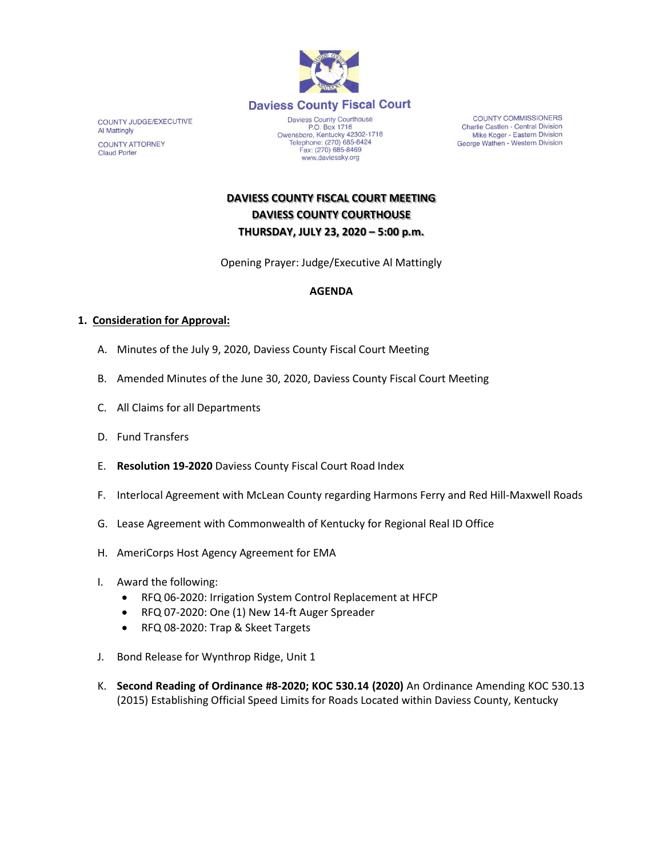

**COUNTY JUDGE/EXECUTIVE Al Mattingly COUNTY ATTORNEY Claud Porter** 

Owensboro, Kentucky 42302-1716<br>Telephone: (270) 685-8424 Fax: (270) 685-8469 www.daviessky.org

**COUNTY COMMISSIONERS** Charlie Castlen - Central Division Mike Koger - Eastern Division George Wathen - Western Division

**DAVIESS COUNTY FISCAL COURT MEETING DAVIESS COUNTY COURTHOUSE THURSDAY, JULY 23, 2020 – 5:00 p.m.** 

Opening Prayer: Judge/Executive Al Mattingly

## **AGENDA**

## **1. Consideration for Approval:**

- A. Minutes of the July 9, 2020, Daviess County Fiscal Court Meeting
- B. Amended Minutes of the June 30, 2020, Daviess County Fiscal Court Meeting
- C. All Claims for all Departments
- D. Fund Transfers
- E. **Resolution 19-2020** Daviess County Fiscal Court Road Index
- F. Interlocal Agreement with McLean County regarding Harmons Ferry and Red Hill-Maxwell Roads
- G. Lease Agreement with Commonwealth of Kentucky for Regional Real ID Office
- H. AmeriCorps Host Agency Agreement for EMA
- I. Award the following:
	- RFQ 06-2020: Irrigation System Control Replacement at HFCP
	- RFQ 07-2020: One (1) New 14-ft Auger Spreader
	- RFQ 08-2020: Trap & Skeet Targets
- J. Bond Release for Wynthrop Ridge, Unit 1
- K. **Second Reading of Ordinance #8-2020; KOC 530.14 (2020)** An Ordinance Amending KOC 530.13 (2015) Establishing Official Speed Limits for Roads Located within Daviess County, Kentucky